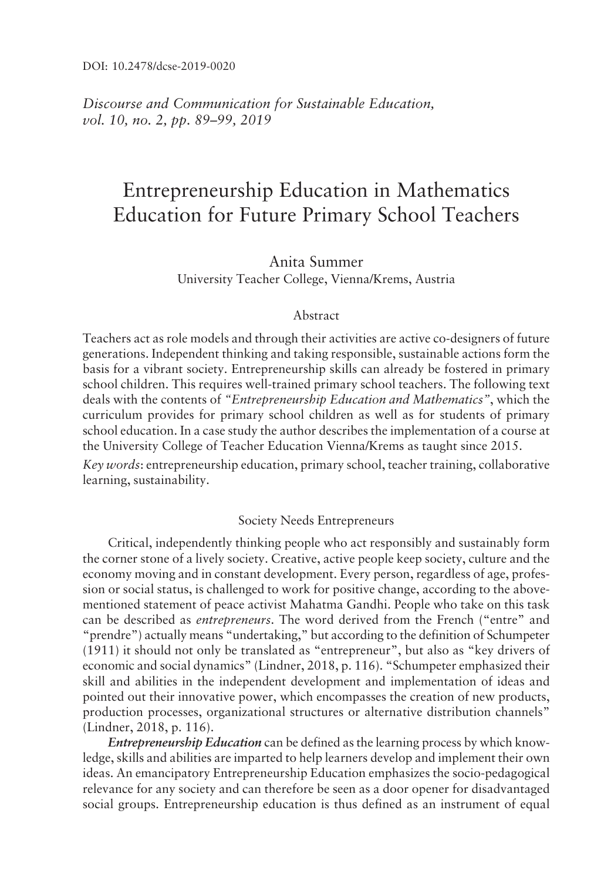*Discourse and Communication for Sustainable Education, vol.* 10, no. 2, pp. 89-99, 2019

# Entrepreneurship Education in Mathematics Education for Future Primary School Teachers

# Anita Summer University Teacher College, Vienna/Krems, Austria

## Abstract

Teachers act as role models and through their activities are active co-designers of future generations. Independent thinking and taking responsible, sustainable actions form the basis for a vibrant society. Entrepreneurship skills can already be fostered in primary school children. This requires well-trained primary school teachers. The following text deals with the contents of *ìEntrepreneurship Education and Mathematicsî*, which the curriculum provides for primary school children as well as for students of primary school education. In a case study the author describes the implementation of a course at the University College of Teacher Education Vienna/Krems as taught since 2015.

*Key words*: entrepreneurship education, primary school, teacher training, collaborative learning, sustainability.

## Society Needs Entrepreneurs

Critical, independently thinking people who act responsibly and sustainably form the corner stone of a lively society. Creative, active people keep society, culture and the economy moving and in constant development. Every person, regardless of age, profession or social status, is challenged to work for positive change, according to the abovementioned statement of peace activist Mahatma Gandhi. People who take on this task can be described as *entrepreneurs*. The word derived from the French ("entre" and "prendre") actually means "undertaking," but according to the definition of Schumpeter  $(1911)$  it should not only be translated as "entrepreneur", but also as "key drivers of economic and social dynamics" (Lindner, 2018, p. 116). "Schumpeter emphasized their skill and abilities in the independent development and implementation of ideas and pointed out their innovative power, which encompasses the creation of new products, production processes, organizational structures or alternative distribution channels" (Lindner, 2018, p. 116).

*Entrepreneurship Education* can be defined as the learning process by which knowledge, skills and abilities are imparted to help learners develop and implement their own ideas. An emancipatory Entrepreneurship Education emphasizes the socio-pedagogical relevance for any society and can therefore be seen as a door opener for disadvantaged social groups. Entrepreneurship education is thus defined as an instrument of equal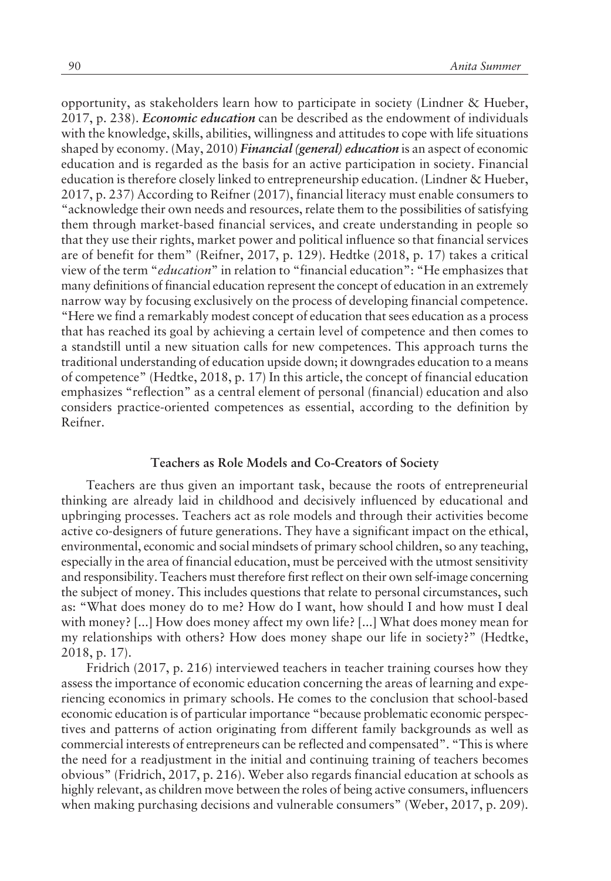opportunity, as stakeholders learn how to participate in society (Lindner & Hueber, 2017, p. 238). *Economic education* can be described as the endowment of individuals with the knowledge, skills, abilities, willingness and attitudes to cope with life situations shaped by economy. (May, 2010) *Financial (general) education* is an aspect of economic education and is regarded as the basis for an active participation in society. Financial education is therefore closely linked to entrepreneurship education. (Lindner & Hueber, 2017, p. 237) According to Reifner (2017), financial literacy must enable consumers to ìacknowledge their own needs and resources, relate them to the possibilities of satisfying them through market-based financial services, and create understanding in people so that they use their rights, market power and political influence so that financial services are of benefit for themî (Reifner, 2017, p. 129). Hedtke (2018, p. 17) takes a critical view of the term *"education"* in relation to "financial education": "He emphasizes that many definitions of financial education represent the concept of education in an extremely narrow way by focusing exclusively on the process of developing financial competence. ìHere we find a remarkably modest concept of education that sees education as a process that has reached its goal by achieving a certain level of competence and then comes to a standstill until a new situation calls for new competences. This approach turns the traditional understanding of education upside down; it downgrades education to a means of competenceî (Hedtke, 2018, p. 17) In this article, the concept of financial education emphasizes "reflection" as a central element of personal (financial) education and also considers practice-oriented competences as essential, according to the definition by Reifner.

#### **Teachers as Role Models and Co-Creators of Society**

Teachers are thus given an important task, because the roots of entrepreneurial thinking are already laid in childhood and decisively influenced by educational and upbringing processes. Teachers act as role models and through their activities become active co-designers of future generations. They have a significant impact on the ethical, environmental, economic and social mindsets of primary school children, so any teaching, especially in the area of financial education, must be perceived with the utmost sensitivity and responsibility. Teachers must therefore first reflect on their own self-image concerning the subject of money. This includes questions that relate to personal circumstances, such as: "What does money do to me? How do I want, how should I and how must I deal with money? [...] How does money affect my own life? [...] What does money mean for my relationships with others? How does money shape our life in society?" (Hedtke, 2018, p. 17).

Fridrich (2017, p. 216) interviewed teachers in teacher training courses how they assess the importance of economic education concerning the areas of learning and experiencing economics in primary schools. He comes to the conclusion that school-based economic education is of particular importance "because problematic economic perspectives and patterns of action originating from different family backgrounds as well as commercial interests of entrepreneurs can be reflected and compensated". "This is where the need for a readjustment in the initial and continuing training of teachers becomes obvious" (Fridrich, 2017, p. 216). Weber also regards financial education at schools as highly relevant, as children move between the roles of being active consumers, influencers when making purchasing decisions and vulnerable consumers" (Weber, 2017, p. 209).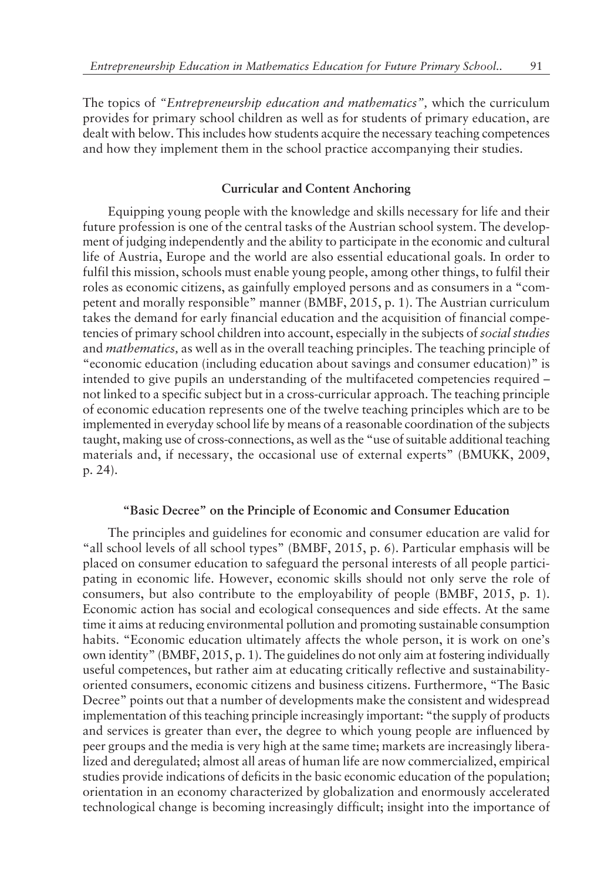The topics of *ìEntrepreneurship education and mathematicsî,* which the curriculum provides for primary school children as well as for students of primary education, are dealt with below. This includes how students acquire the necessary teaching competences and how they implement them in the school practice accompanying their studies.

## **Curricular and Content Anchoring**

Equipping young people with the knowledge and skills necessary for life and their future profession is one of the central tasks of the Austrian school system. The development of judging independently and the ability to participate in the economic and cultural life of Austria, Europe and the world are also essential educational goals. In order to fulfil this mission, schools must enable young people, among other things, to fulfil their roles as economic citizens, as gainfully employed persons and as consumers in a "competent and morally responsible" manner  $(BMBF, 2015, p. 1)$ . The Austrian curriculum takes the demand for early financial education and the acquisition of financial competencies of primary school children into account, especially in the subjects of *social studies* and *mathematics,* as well as in the overall teaching principles. The teaching principle of ìeconomic education (including education about savings and consumer education)î is intended to give pupils an understanding of the multifaceted competencies required not linked to a specific subject but in a cross-curricular approach. The teaching principle of economic education represents one of the twelve teaching principles which are to be implemented in everyday school life by means of a reasonable coordination of the subjects taught, making use of cross-connections, as well as the "use of suitable additional teaching materials and, if necessary, the occasional use of external experts" (BMUKK, 2009, p. 24).

#### **ìBasic Decreeî on the Principle of Economic and Consumer Education**

The principles and guidelines for economic and consumer education are valid for "all school levels of all school types" (BMBF, 2015, p. 6). Particular emphasis will be placed on consumer education to safeguard the personal interests of all people participating in economic life. However, economic skills should not only serve the role of consumers, but also contribute to the employability of people (BMBF, 2015, p. 1). Economic action has social and ecological consequences and side effects. At the same time it aims at reducing environmental pollution and promoting sustainable consumption habits. "Economic education ultimately affects the whole person, it is work on one's own identity" (BMBF, 2015, p. 1). The guidelines do not only aim at fostering individually useful competences, but rather aim at educating critically reflective and sustainabilityoriented consumers, economic citizens and business citizens. Furthermore, "The Basic Decree" points out that a number of developments make the consistent and widespread implementation of this teaching principle increasingly important: "the supply of products and services is greater than ever, the degree to which young people are influenced by peer groups and the media is very high at the same time; markets are increasingly liberalized and deregulated; almost all areas of human life are now commercialized, empirical studies provide indications of deficits in the basic economic education of the population; orientation in an economy characterized by globalization and enormously accelerated technological change is becoming increasingly difficult; insight into the importance of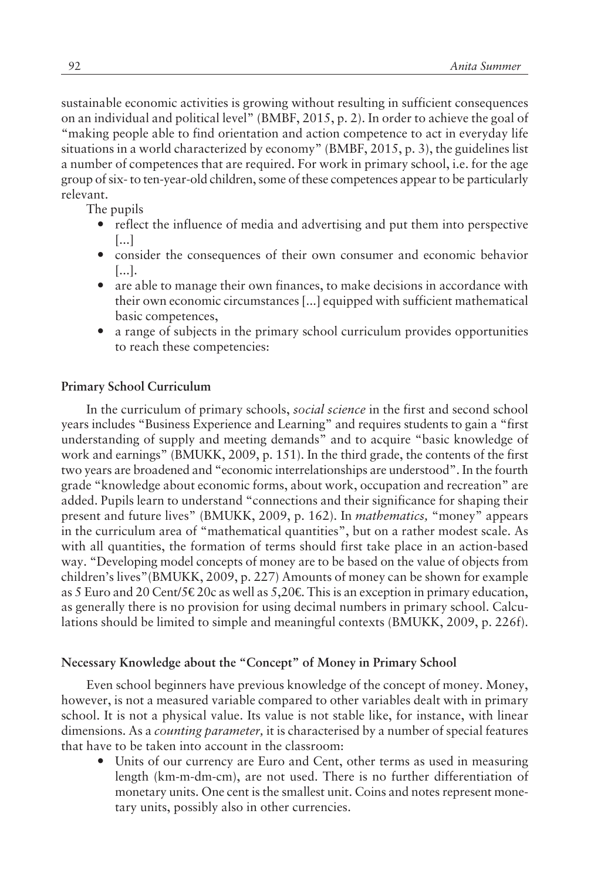sustainable economic activities is growing without resulting in sufficient consequences on an individual and political level" (BMBF, 2015, p. 2). In order to achieve the goal of ìmaking people able to find orientation and action competence to act in everyday life situations in a world characterized by economy" (BMBF, 2015, p. 3), the guidelines list a number of competences that are required. For work in primary school, i.e. for the age group of six- to ten-year-old children, some of these competences appear to be particularly relevant.

The pupils

- reflect the influence of media and advertising and put them into perspective [...]
- consider the consequences of their own consumer and economic behavior [...].
- are able to manage their own finances, to make decisions in accordance with their own economic circumstances [...] equipped with sufficient mathematical basic competences,
- ó a range of subjects in the primary school curriculum provides opportunities to reach these competencies:

## **Primary School Curriculum**

In the curriculum of primary schools, *social science* in the first and second school years includes "Business Experience and Learning" and requires students to gain a "first understanding of supply and meeting demands" and to acquire "basic knowledge of work and earnings" (BMUKK, 2009, p. 151). In the third grade, the contents of the first two years are broadened and "economic interrelationships are understood". In the fourth grade "knowledge about economic forms, about work, occupation and recreation" are added. Pupils learn to understand "connections and their significance for shaping their present and future lives" (BMUKK, 2009, p. 162). In *mathematics*, "money" appears in the curriculum area of "mathematical quantities", but on a rather modest scale. As with all quantities, the formation of terms should first take place in an action-based way. "Developing model concepts of money are to be based on the value of objects from children's lives"(BMUKK, 2009, p. 227) Amounts of money can be shown for example as 5 Euro and 20 Cent/5  $\epsilon$  20c as well as 5,20 $\epsilon$ . This is an exception in primary education, as generally there is no provision for using decimal numbers in primary school. Calculations should be limited to simple and meaningful contexts (BMUKK, 2009, p. 226f).

## Necessary Knowledge about the "Concept" of Money in Primary School

Even school beginners have previous knowledge of the concept of money. Money, however, is not a measured variable compared to other variables dealt with in primary school. It is not a physical value. Its value is not stable like, for instance, with linear dimensions. As a *counting parameter,* it is characterised by a number of special features that have to be taken into account in the classroom:

Units of our currency are Euro and Cent, other terms as used in measuring length (km-m-dm-cm), are not used. There is no further differentiation of monetary units. One cent is the smallest unit. Coins and notes represent monetary units, possibly also in other currencies.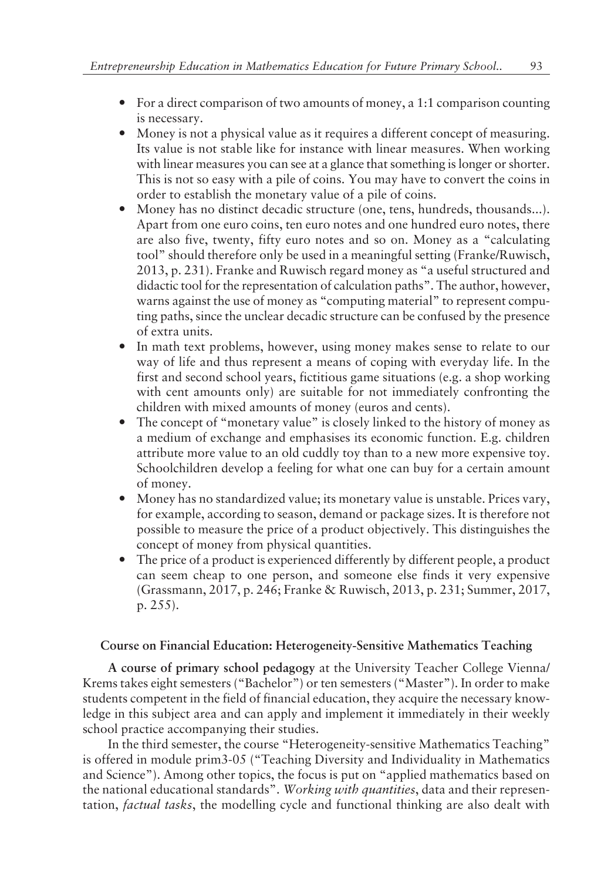- For a direct comparison of two amounts of money, a 1:1 comparison counting is necessary.
- ó Money is not a physical value as it requires a different concept of measuring. Its value is not stable like for instance with linear measures. When working with linear measures you can see at a glance that something is longer or shorter. This is not so easy with a pile of coins. You may have to convert the coins in order to establish the monetary value of a pile of coins.
- ó Money has no distinct decadic structure (one, tens, hundreds, thousands...). Apart from one euro coins, ten euro notes and one hundred euro notes, there are also five, twenty, fifty euro notes and so on. Money as a "calculating toolî should therefore only be used in a meaningful setting (Franke/Ruwisch,  $2013$ , p. 231). Franke and Ruwisch regard money as "a useful structured and didactic tool for the representation of calculation paths". The author, however, warns against the use of money as "computing material" to represent computing paths, since the unclear decadic structure can be confused by the presence of extra units.
- In math text problems, however, using money makes sense to relate to our way of life and thus represent a means of coping with everyday life. In the first and second school years, fictitious game situations (e.g. a shop working with cent amounts only) are suitable for not immediately confronting the children with mixed amounts of money (euros and cents).
- The concept of "monetary value" is closely linked to the history of money as a medium of exchange and emphasises its economic function. E.g. children attribute more value to an old cuddly toy than to a new more expensive toy. Schoolchildren develop a feeling for what one can buy for a certain amount of money.
- Money has no standardized value; its monetary value is unstable. Prices vary, for example, according to season, demand or package sizes. It is therefore not possible to measure the price of a product objectively. This distinguishes the concept of money from physical quantities.
- The price of a product is experienced differently by different people, a product can seem cheap to one person, and someone else finds it very expensive (Grassmann, 2017, p. 246; Franke & Ruwisch, 2013, p. 231; Summer, 2017, p. 255).

## **Course on Financial Education: Heterogeneity-Sensitive Mathematics Teaching**

**A course of primary school pedagogy** at the University Teacher College Vienna/ Krems takes eight semesters ("Bachelor") or ten semesters ("Master"). In order to make students competent in the field of financial education, they acquire the necessary knowledge in this subject area and can apply and implement it immediately in their weekly school practice accompanying their studies.

In the third semester, the course "Heterogeneity-sensitive Mathematics Teaching" is offered in module prim $3-05$  ("Teaching Diversity and Individuality in Mathematics and Science"). Among other topics, the focus is put on "applied mathematics based on the national educational standardsî. *Working with quantities*, data and their representation, *factual tasks*, the modelling cycle and functional thinking are also dealt with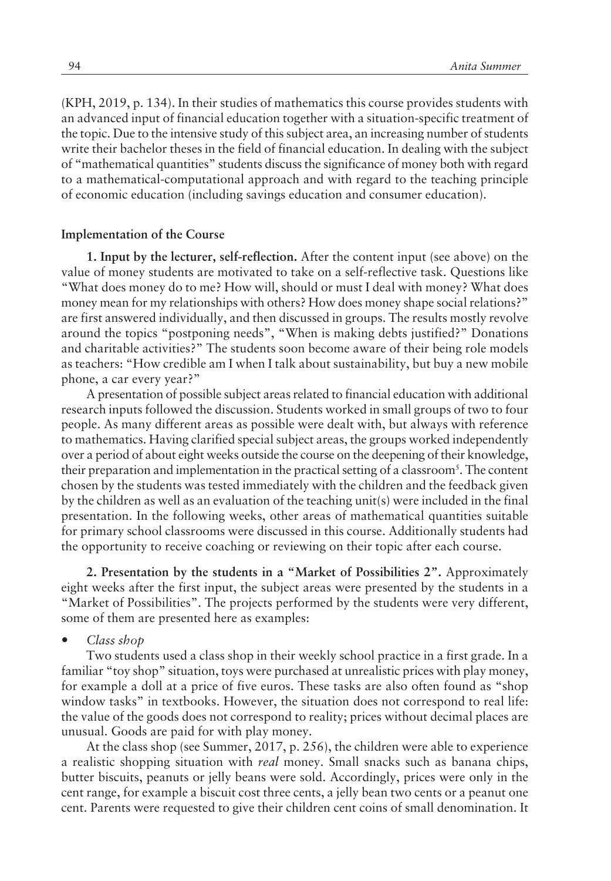(KPH, 2019, p. 134). In their studies of mathematics this course provides students with an advanced input of financial education together with a situation-specific treatment of the topic. Due to the intensive study of this subject area, an increasing number of students write their bachelor theses in the field of financial education. In dealing with the subject of "mathematical quantities" students discuss the significance of money both with regard to a mathematical-computational approach and with regard to the teaching principle of economic education (including savings education and consumer education).

#### **Implementation of the Course**

**1. Input by the lecturer, self-reflection.** After the content input (see above) on the value of money students are motivated to take on a self-reflective task. Questions like ìWhat does money do to me? How will, should or must I deal with money? What does money mean for my relationships with others? How does money shape social relations?" are first answered individually, and then discussed in groups. The results mostly revolve around the topics "postponing needs", "When is making debts justified?" Donations and charitable activities?" The students soon become aware of their being role models as teachers: "How credible am I when I talk about sustainability, but buy a new mobile phone, a car every year?"

A presentation of possible subject areas related to financial education with additional research inputs followed the discussion. Students worked in small groups of two to four people. As many different areas as possible were dealt with, but always with reference to mathematics. Having clarified special subject areas, the groups worked independently over a period of about eight weeks outside the course on the deepening of their knowledge, their preparation and implementation in the practical setting of a classroom<sup>5</sup>. The content chosen by the students was tested immediately with the children and the feedback given by the children as well as an evaluation of the teaching unit(s) were included in the final presentation. In the following weeks, other areas of mathematical quantities suitable for primary school classrooms were discussed in this course. Additionally students had the opportunity to receive coaching or reviewing on their topic after each course.

**2. Presentation by the students in a "Market of Possibilities 2".** Approximately eight weeks after the first input, the subject areas were presented by the students in a ìMarket of Possibilitiesî. The projects performed by the students were very different, some of them are presented here as examples:

ó *Class shop*

Two students used a class shop in their weekly school practice in a first grade. In a familiar "toy shop" situation, toys were purchased at unrealistic prices with play money, for example a doll at a price of five euros. These tasks are also often found as "shop window tasks" in textbooks. However, the situation does not correspond to real life: the value of the goods does not correspond to reality; prices without decimal places are unusual. Goods are paid for with play money.

At the class shop (see Summer, 2017, p. 256), the children were able to experience a realistic shopping situation with *real* money. Small snacks such as banana chips, butter biscuits, peanuts or jelly beans were sold. Accordingly, prices were only in the cent range, for example a biscuit cost three cents, a jelly bean two cents or a peanut one cent. Parents were requested to give their children cent coins of small denomination. It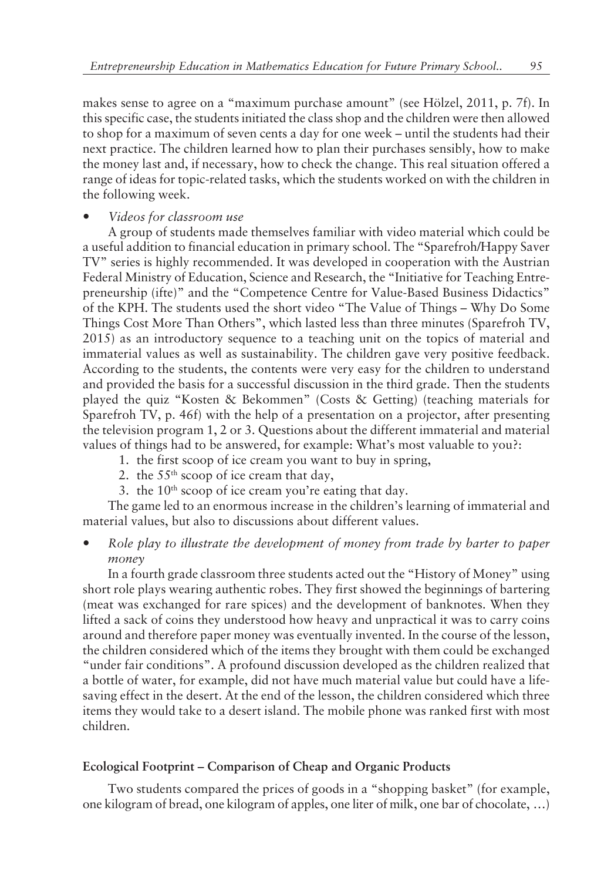makes sense to agree on a "maximum purchase amount" (see Hölzel, 2011, p. 7f). In this specific case, the students initiated the class shop and the children were then allowed to shop for a maximum of seven cents a day for one week – until the students had their next practice. The children learned how to plan their purchases sensibly, how to make the money last and, if necessary, how to check the change. This real situation offered a range of ideas for topic-related tasks, which the students worked on with the children in the following week.

## ó *Videos for classroom use*

A group of students made themselves familiar with video material which could be a useful addition to financial education in primary school. The "Sparefroh/Happy Saver TV" series is highly recommended. It was developed in cooperation with the Austrian Federal Ministry of Education, Science and Research, the "Initiative for Teaching Entrepreneurship (ifte)" and the "Competence Centre for Value-Based Business Didactics" of the KPH. The students used the short video "The Value of Things – Why Do Some Things Cost More Than Others", which lasted less than three minutes (Sparefroh TV, 2015) as an introductory sequence to a teaching unit on the topics of material and immaterial values as well as sustainability. The children gave very positive feedback. According to the students, the contents were very easy for the children to understand and provided the basis for a successful discussion in the third grade. Then the students played the quiz "Kosten & Bekommen" (Costs & Getting) (teaching materials for Sparefroh TV, p. 46f) with the help of a presentation on a projector, after presenting the television program 1, 2 or 3. Questions about the different immaterial and material values of things had to be answered, for example: What's most valuable to you?:

- 1. the first scoop of ice cream you want to buy in spring,
- 2. the  $55<sup>th</sup>$  scoop of ice cream that day,
- 3. the  $10^{th}$  scoop of ice cream you're eating that day.

The game led to an enormous increase in the children's learning of immaterial and material values, but also to discussions about different values.

ó *Role play to illustrate the development of money from trade by barter to paper money*

In a fourth grade classroom three students acted out the "History of Money" using short role plays wearing authentic robes. They first showed the beginnings of bartering (meat was exchanged for rare spices) and the development of banknotes. When they lifted a sack of coins they understood how heavy and unpractical it was to carry coins around and therefore paper money was eventually invented. In the course of the lesson, the children considered which of the items they brought with them could be exchanged "under fair conditions". A profound discussion developed as the children realized that a bottle of water, for example, did not have much material value but could have a lifesaving effect in the desert. At the end of the lesson, the children considered which three items they would take to a desert island. The mobile phone was ranked first with most children.

## Ecological Footprint – Comparison of Cheap and Organic Products

Two students compared the prices of goods in a "shopping basket" (for example, one kilogram of bread, one kilogram of apples, one liter of milk, one bar of chocolate, ...)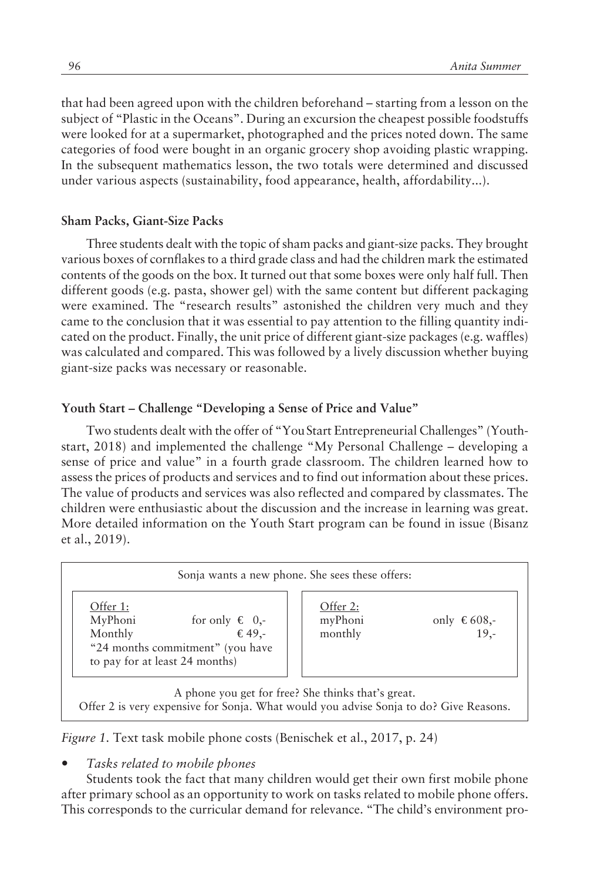that had been agreed upon with the children beforehand – starting from a lesson on the subject of "Plastic in the Oceans". During an excursion the cheapest possible foodstuffs were looked for at a supermarket, photographed and the prices noted down. The same categories of food were bought in an organic grocery shop avoiding plastic wrapping. In the subsequent mathematics lesson, the two totals were determined and discussed under various aspects (sustainability, food appearance, health, affordability...).

## **Sham Packs, Giant-Size Packs**

Three students dealt with the topic of sham packs and giant-size packs. They brought various boxes of cornflakes to a third grade class and had the children mark the estimated contents of the goods on the box. It turned out that some boxes were only half full. Then different goods (e.g. pasta, shower gel) with the same content but different packaging were examined. The "research results" astonished the children very much and they came to the conclusion that it was essential to pay attention to the filling quantity indicated on the product. Finally, the unit price of different giant-size packages (e.g. waffles) was calculated and compared. This was followed by a lively discussion whether buying giant-size packs was necessary or reasonable.

#### Youth Start – Challenge "Developing a Sense of Price and Value"

Two students dealt with the offer of "You Start Entrepreneurial Challenges" (Youthstart, 2018) and implemented the challenge "My Personal Challenge - developing a sense of price and value" in a fourth grade classroom. The children learned how to assess the prices of products and services and to find out information about these prices. The value of products and services was also reflected and compared by classmates. The children were enthusiastic about the discussion and the increase in learning was great. More detailed information on the Youth Start program can be found in issue (Bisanz et al., 2019).

| Offer 1:<br>MyPhoni<br>for only $\in$ 0,-<br>Monthly<br>$\epsilon$ 49.-<br>"24 months commitment" (you have<br>to pay for at least 24 months) | Offer 2:<br>myPhoni<br>monthly | only $\epsilon$ 608,-<br>$19. -$ |
|-----------------------------------------------------------------------------------------------------------------------------------------------|--------------------------------|----------------------------------|
|-----------------------------------------------------------------------------------------------------------------------------------------------|--------------------------------|----------------------------------|

*Figure 1.* Text task mobile phone costs (Benischek et al., 2017, p. 24)

ó *Tasks related to mobile phones*

Students took the fact that many children would get their own first mobile phone after primary school as an opportunity to work on tasks related to mobile phone offers. This corresponds to the curricular demand for relevance. "The child's environment pro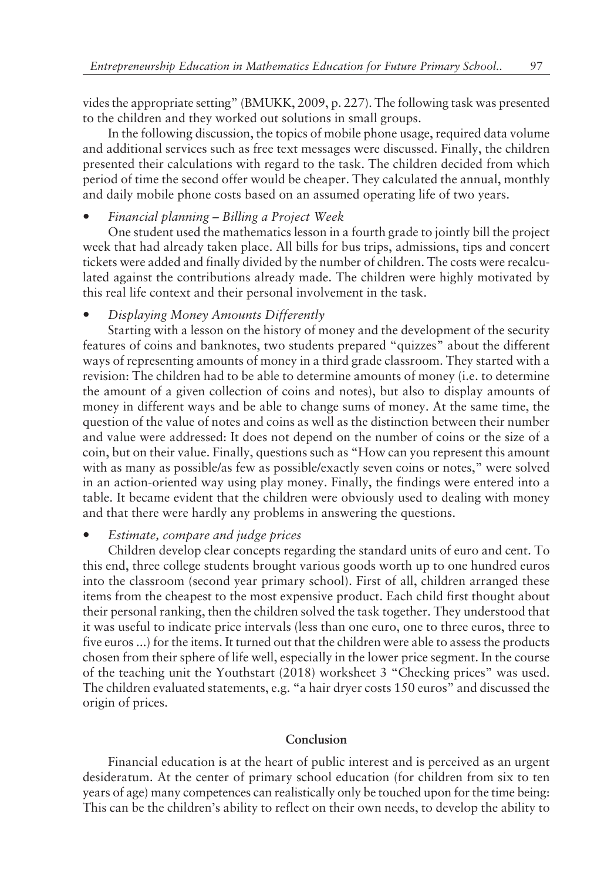vides the appropriate settingî (BMUKK, 2009, p. 227). The following task was presented to the children and they worked out solutions in small groups.

In the following discussion, the topics of mobile phone usage, required data volume and additional services such as free text messages were discussed. Finally, the children presented their calculations with regard to the task. The children decided from which period of time the second offer would be cheaper. They calculated the annual, monthly and daily mobile phone costs based on an assumed operating life of two years.

*Financial planning – Billing a Project Week* 

One student used the mathematics lesson in a fourth grade to jointly bill the project week that had already taken place. All bills for bus trips, admissions, tips and concert tickets were added and finally divided by the number of children. The costs were recalculated against the contributions already made. The children were highly motivated by this real life context and their personal involvement in the task.

## ó *Displaying Money Amounts Differently*

Starting with a lesson on the history of money and the development of the security features of coins and banknotes, two students prepared "quizzes" about the different ways of representing amounts of money in a third grade classroom. They started with a revision: The children had to be able to determine amounts of money (i.e. to determine the amount of a given collection of coins and notes), but also to display amounts of money in different ways and be able to change sums of money. At the same time, the question of the value of notes and coins as well as the distinction between their number and value were addressed: It does not depend on the number of coins or the size of a coin, but on their value. Finally, questions such as "How can you represent this amount with as many as possible/as few as possible/exactly seven coins or notes," were solved in an action-oriented way using play money. Finally, the findings were entered into a table. It became evident that the children were obviously used to dealing with money and that there were hardly any problems in answering the questions.

## ó *Estimate, compare and judge prices*

Children develop clear concepts regarding the standard units of euro and cent. To this end, three college students brought various goods worth up to one hundred euros into the classroom (second year primary school). First of all, children arranged these items from the cheapest to the most expensive product. Each child first thought about their personal ranking, then the children solved the task together. They understood that it was useful to indicate price intervals (less than one euro, one to three euros, three to five euros ...) for the items. It turned out that the children were able to assess the products chosen from their sphere of life well, especially in the lower price segment. In the course of the teaching unit the Youthstart (2018) worksheet 3 "Checking prices" was used. The children evaluated statements, e.g. "a hair dryer costs 150 euros" and discussed the origin of prices.

#### **Conclusion**

Financial education is at the heart of public interest and is perceived as an urgent desideratum. At the center of primary school education (for children from six to ten years of age) many competences can realistically only be touched upon for the time being: This can be the children's ability to reflect on their own needs, to develop the ability to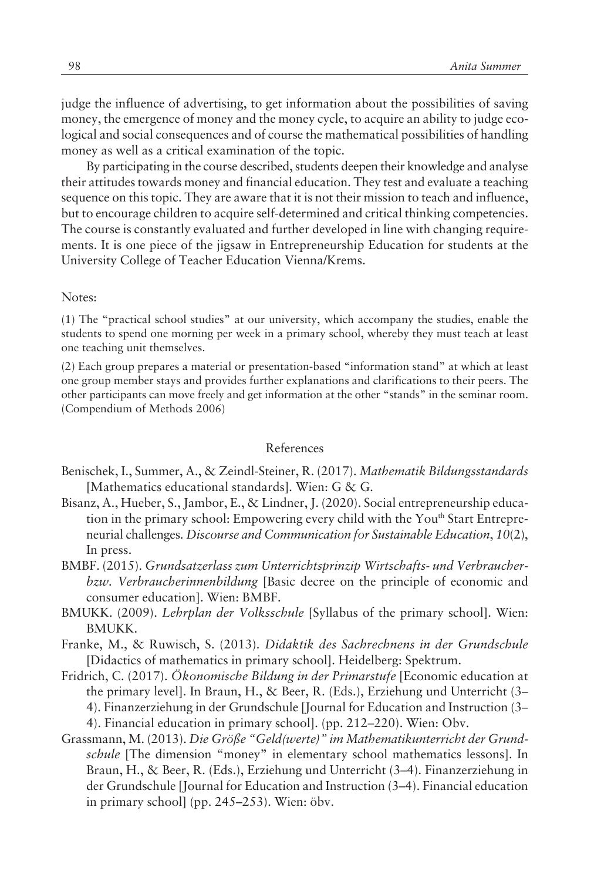judge the influence of advertising, to get information about the possibilities of saving money, the emergence of money and the money cycle, to acquire an ability to judge ecological and social consequences and of course the mathematical possibilities of handling money as well as a critical examination of the topic.

By participating in the course described, students deepen their knowledge and analyse their attitudes towards money and financial education. They test and evaluate a teaching sequence on this topic. They are aware that it is not their mission to teach and influence, but to encourage children to acquire self-determined and critical thinking competencies. The course is constantly evaluated and further developed in line with changing requirements. It is one piece of the jigsaw in Entrepreneurship Education for students at the University College of Teacher Education Vienna/Krems.

#### Notes:

 $(1)$  The "practical school studies" at our university, which accompany the studies, enable the students to spend one morning per week in a primary school, whereby they must teach at least one teaching unit themselves.

 $(2)$  Each group prepares a material or presentation-based "information stand" at which at least one group member stays and provides further explanations and clarifications to their peers. The other participants can move freely and get information at the other "stands" in the seminar room. (Compendium of Methods 2006)

#### References

- Benischek, I., Summer, A., & Zeindl-Steiner, R. (2017). *Mathematik Bildungsstandards* [Mathematics educational standards]. Wien: G & G.
- Bisanz, A., Hueber, S., Jambor, E., & Lindner, J. (2020). Social entrepreneurship education in the primary school: Empowering every child with the Youth Start Entrepreneurial challenges*. Discourse and Communication for Sustainable Education*, *10*(2), In press.
- BMBF. (2015). *Grundsatzerlass zum Unterrichtsprinzip Wirtschafts- und Verbraucherbzw. Verbraucherinnenbildung* [Basic decree on the principle of economic and consumer education]. Wien: BMBF.
- BMUKK. (2009). *Lehrplan der Volksschule* [Syllabus of the primary school]. Wien: BMUKK.
- Franke, M., & Ruwisch, S. (2013). *Didaktik des Sachrechnens in der Grundschule* [Didactics of mathematics in primary school]. Heidelberg: Spektrum.
- Fridrich, C. (2017). *Ökonomische Bildung in der Primarstufe* [Economic education at the primary level]. In Braun, H., & Beer, R. (Eds.), Erziehung und Unterricht  $(3-)$ 4). Finanzerziehung in der Grundschule [Journal for Education and Instruction (3– 4). Financial education in primary school]. (pp. 212–220). Wien: Obv.
- Grassmann, M. (2013). Die Größe "Geld(werte)" im Mathematikunterricht der Grund*schule* [The dimension "money" in elementary school mathematics lessons]. In Braun, H., & Beer, R. (Eds.), Erziehung und Unterricht  $(3-4)$ . Finanzerziehung in der Grundschule [Journal for Education and Instruction  $(3-4)$ . Financial education in primary school] (pp.  $245-253$ ). Wien: öbv.